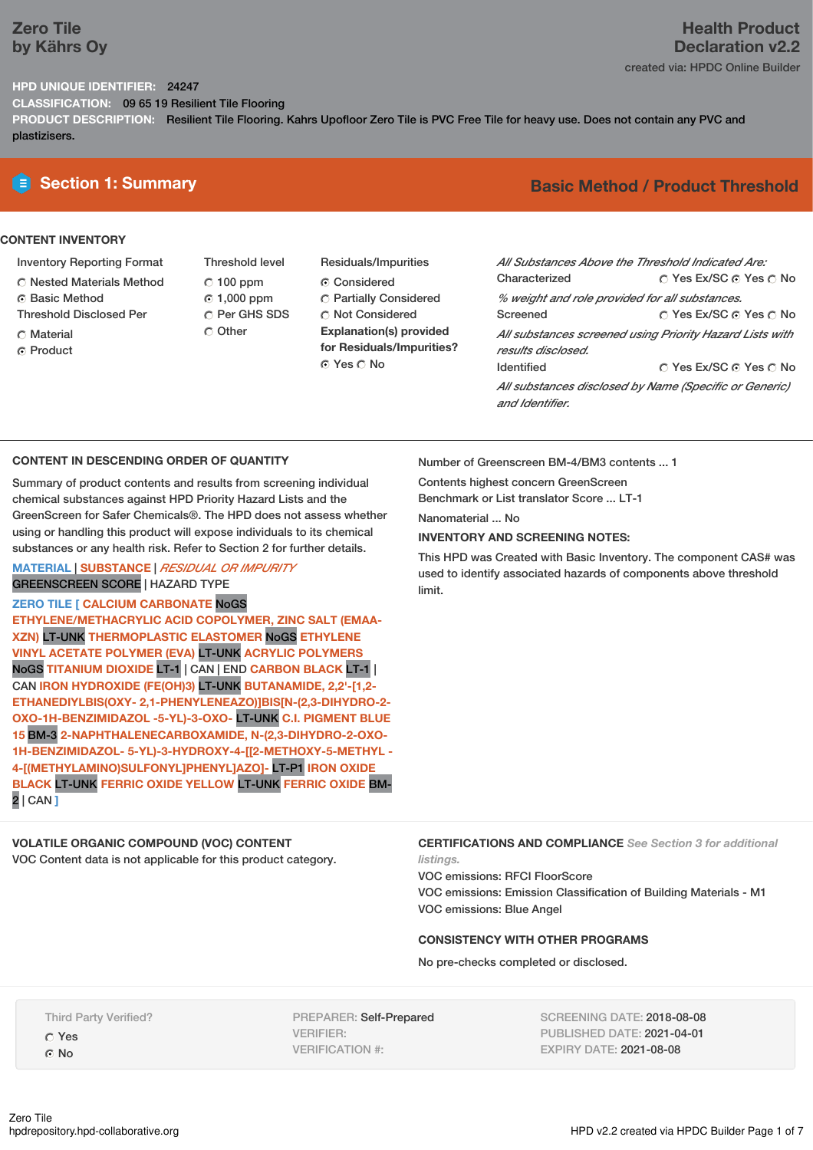## **Zero Tile by Kährs Oy**

### **HPD UNIQUE IDENTIFIER:** 24247

**CLASSIFICATION:** 09 65 19 Resilient Tile Flooring

**PRODUCT DESCRIPTION:** Resilient Tile Flooring. Kahrs Upofloor Zero Tile is PVC Free Tile for heavy use. Does not contain any PVC and plastizisers.

### **CONTENT INVENTORY**

- Inventory Reporting Format
- Nested Materials Method
- **6** Basic Method
- Threshold Disclosed Per
- C Material
- **C** Product
- Threshold level  $C$  100 ppm 1,000 ppm C Per GHS SDS Other
- Residuals/Impurities Considered Partially Considered **C** Not Considered **Explanation(s) provided for Residuals/Impurities?** ⊙ Yes O No

# **E** Section 1: Summary **Basic Method / Product Threshold**

| All Substances Above the Threshold Indicated Are: |                                                          |
|---------------------------------------------------|----------------------------------------------------------|
| Characterized                                     | ∩ Yes Ex/SC ∩ Yes ∩ No                                   |
| % weight and role provided for all substances.    |                                                          |
| Screened                                          | ∩ Yes Ex/SC ⊙ Yes ∩ No                                   |
| results disclosed.                                | All substances screened using Priority Hazard Lists with |
| <b>Identified</b>                                 | ∩ Yes Ex/SC ∩ Yes ∩ No                                   |
| and Identifier                                    | All substances disclosed by Name (Specific or Generic)   |

### **CONTENT IN DESCENDING ORDER OF QUANTITY**

Summary of product contents and results from screening individual chemical substances against HPD Priority Hazard Lists and the GreenScreen for Safer Chemicals®. The HPD does not assess whether using or handling this product will expose individuals to its chemical substances or any health risk. Refer to Section 2 for further details.

### **MATERIAL** | **SUBSTANCE** | *RESIDUAL OR IMPURITY* GREENSCREEN SCORE | HAZARD TYPE

**ZERO TILE [ CALCIUM CARBONATE** NoGS

**ETHYLENE/METHACRYLIC ACID COPOLYMER, ZINC SALT (EMAA-XZN)** LT-UNK **THERMOPLASTIC ELASTOMER** NoGS **ETHYLENE VINYL ACETATE POLYMER (EVA)** LT-UNK **ACRYLIC POLYMERS** NoGS **TITANIUM DIOXIDE** LT-1 | CAN | END **CARBON BLACK** LT-1 | CAN **IRON HYDROXIDE (FE(OH)3)** LT-UNK **BUTANAMIDE, 2,2'-[1,2- ETHANEDIYLBIS(OXY- 2,1-PHENYLENEAZO)]BIS[N-(2,3-DIHYDRO-2- OXO-1H-BENZIMIDAZOL -5-YL)-3-OXO-** LT-UNK **C.I. PIGMENT BLUE 15** BM-3 **2-NAPHTHALENECARBOXAMIDE, N-(2,3-DIHYDRO-2-OXO-1H-BENZIMIDAZOL- 5-YL)-3-HYDROXY-4-[[2-METHOXY-5-METHYL - 4-[(METHYLAMINO)SULFONYL]PHENYL]AZO]-** LT-P1 **IRON OXIDE BLACK** LT-UNK **FERRIC OXIDE YELLOW** LT-UNK **FERRIC OXIDE** BM-2 | CAN **]**

# **VOLATILE ORGANIC COMPOUND (VOC) CONTENT**

VOC Content data is not applicable for this product category.

Number of Greenscreen BM-4/BM3 contents ... 1

Contents highest concern GreenScreen Benchmark or List translator Score ... LT-1

Nanomaterial ... No

### **INVENTORY AND SCREENING NOTES:**

This HPD was Created with Basic Inventory. The component CAS# was used to identify associated hazards of components above threshold limit.

**CERTIFICATIONS AND COMPLIANCE** *See Section 3 for additional*

*listings.* VOC emissions: RFCI FloorScore VOC emissions: Emission Classification of Building Materials - M1 VOC emissions: Blue Angel

### **CONSISTENCY WITH OTHER PROGRAMS**

No pre-checks completed or disclosed.

Third Party Verified?

Yes C<sub>No</sub>

PREPARER: Self-Prepared VERIFIER: VERIFICATION #:

SCREENING DATE: 2018-08-08 PUBLISHED DATE: 2021-04-01 EXPIRY DATE: 2021-08-08

created via: HPDC Online Builder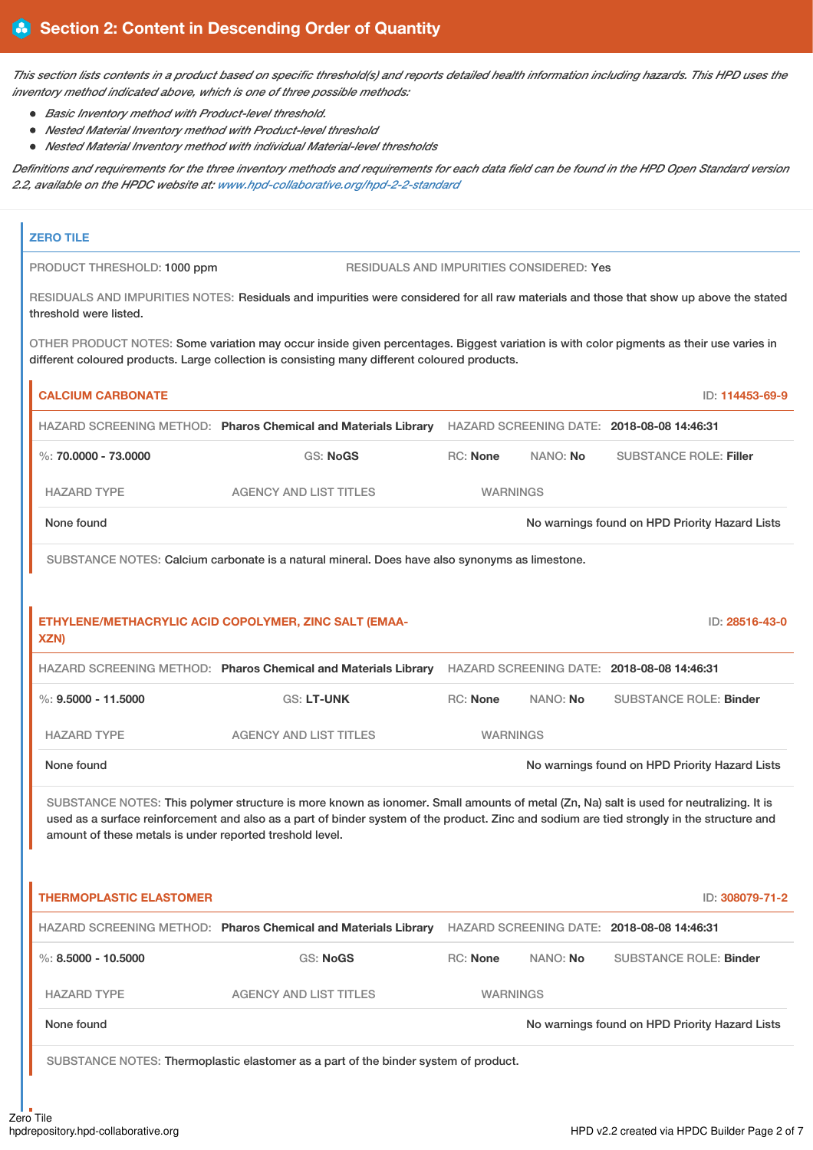This section lists contents in a product based on specific threshold(s) and reports detailed health information including hazards. This HPD uses the *inventory method indicated above, which is one of three possible methods:*

- *Basic Inventory method with Product-level threshold.*
- *Nested Material Inventory method with Product-level threshold*
- *Nested Material Inventory method with individual Material-level thresholds*

Definitions and requirements for the three inventory methods and requirements for each data field can be found in the HPD Open Standard version *2.2, available on the HPDC website at: www.hpd-collaborative.org/hpd-2-2-standard*

| <b>ZERO TILE</b>                                         |                                                                                                                                                                                                                                                                                      |                 |          |                                                |
|----------------------------------------------------------|--------------------------------------------------------------------------------------------------------------------------------------------------------------------------------------------------------------------------------------------------------------------------------------|-----------------|----------|------------------------------------------------|
| PRODUCT THRESHOLD: 1000 ppm                              | RESIDUALS AND IMPURITIES CONSIDERED: Yes                                                                                                                                                                                                                                             |                 |          |                                                |
| threshold were listed.                                   | RESIDUALS AND IMPURITIES NOTES: Residuals and impurities were considered for all raw materials and those that show up above the stated                                                                                                                                               |                 |          |                                                |
|                                                          | OTHER PRODUCT NOTES: Some variation may occur inside given percentages. Biggest variation is with color pigments as their use varies in<br>different coloured products. Large collection is consisting many different coloured products.                                             |                 |          |                                                |
| <b>CALCIUM CARBONATE</b>                                 |                                                                                                                                                                                                                                                                                      |                 |          | ID: 114453-69-9                                |
|                                                          | HAZARD SCREENING METHOD: Pharos Chemical and Materials Library HAZARD SCREENING DATE: 2018-08-08 14:46:31                                                                                                                                                                            |                 |          |                                                |
| %: $70.0000 - 73.0000$                                   | <b>GS: NoGS</b>                                                                                                                                                                                                                                                                      | <b>RC: None</b> | NANO: No | <b>SUBSTANCE ROLE: Filler</b>                  |
| <b>HAZARD TYPE</b>                                       | <b>AGENCY AND LIST TITLES</b>                                                                                                                                                                                                                                                        | <b>WARNINGS</b> |          |                                                |
| None found                                               |                                                                                                                                                                                                                                                                                      |                 |          | No warnings found on HPD Priority Hazard Lists |
|                                                          | SUBSTANCE NOTES: Calcium carbonate is a natural mineral. Does have also synonyms as limestone.                                                                                                                                                                                       |                 |          |                                                |
| XZN)                                                     | ETHYLENE/METHACRYLIC ACID COPOLYMER, ZINC SALT (EMAA-<br>HAZARD SCREENING METHOD: Pharos Chemical and Materials Library HAZARD SCREENING DATE: 2018-08-08 14:46:31                                                                                                                   |                 |          | ID: 28516-43-0                                 |
|                                                          |                                                                                                                                                                                                                                                                                      |                 |          |                                                |
| $\%: 9.5000 - 11.5000$                                   | <b>GS: LT-UNK</b>                                                                                                                                                                                                                                                                    | RC: None        | NANO: No | <b>SUBSTANCE ROLE: Binder</b>                  |
| <b>HAZARD TYPE</b>                                       | <b>AGENCY AND LIST TITLES</b>                                                                                                                                                                                                                                                        | <b>WARNINGS</b> |          |                                                |
| None found                                               |                                                                                                                                                                                                                                                                                      |                 |          | No warnings found on HPD Priority Hazard Lists |
| amount of these metals is under reported treshold level. | SUBSTANCE NOTES: This polymer structure is more known as ionomer. Small amounts of metal (Zn, Na) salt is used for neutralizing. It is<br>used as a surface reinforcement and also as a part of binder system of the product. Zinc and sodium are tied strongly in the structure and |                 |          |                                                |
| <b>THERMOPLASTIC ELASTOMER</b>                           |                                                                                                                                                                                                                                                                                      |                 |          | ID: 308079-71-2                                |
|                                                          | HAZARD SCREENING METHOD: Pharos Chemical and Materials Library HAZARD SCREENING DATE: 2018-08-08 14:46:31                                                                                                                                                                            |                 |          |                                                |
| $\%$ : 8.5000 - 10.5000                                  | <b>GS: NoGS</b>                                                                                                                                                                                                                                                                      | <b>RC: None</b> | NANO: No | <b>SUBSTANCE ROLE: Binder</b>                  |
| <b>HAZARD TYPE</b>                                       | <b>AGENCY AND LIST TITLES</b>                                                                                                                                                                                                                                                        | <b>WARNINGS</b> |          |                                                |
| None found                                               |                                                                                                                                                                                                                                                                                      |                 |          | No warnings found on HPD Priority Hazard Lists |
|                                                          | SUBSTANCE NOTES: Thermoplastic elastomer as a part of the binder system of product.                                                                                                                                                                                                  |                 |          |                                                |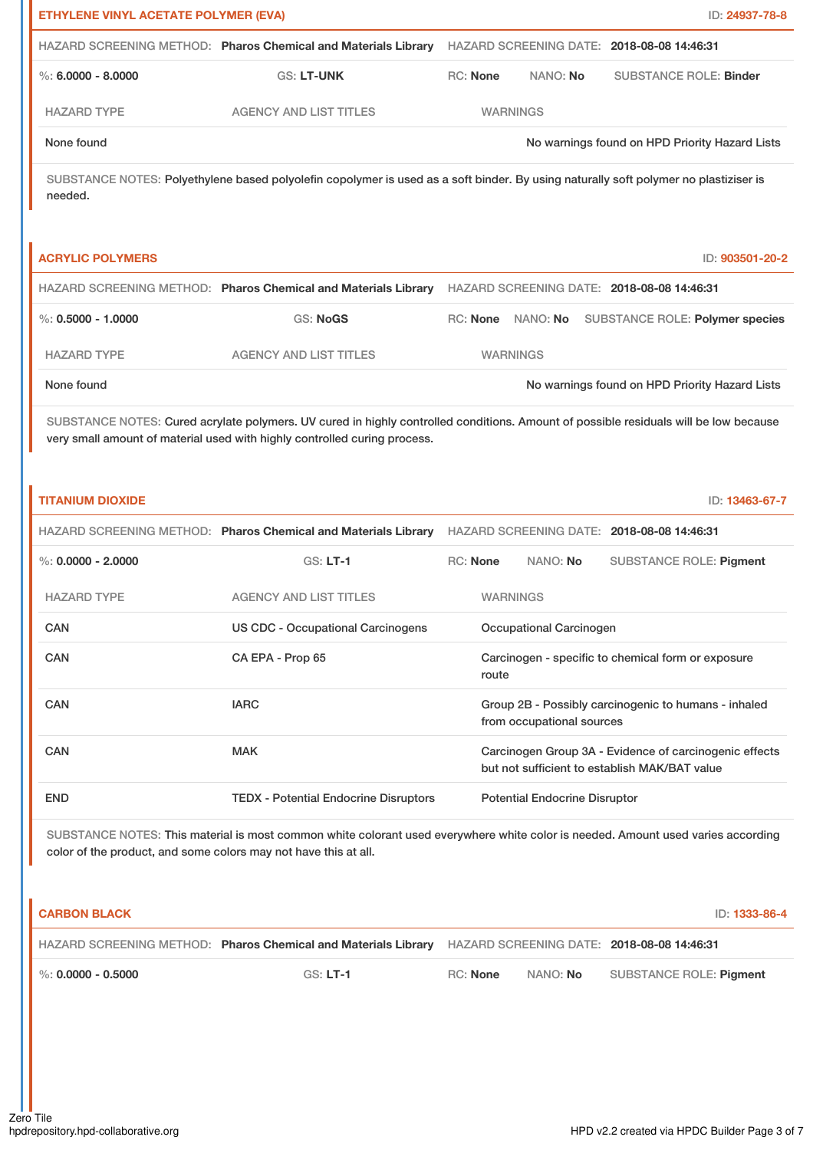| ETHYLENE VINYL ACETATE POLYMER (EVA) |                                                                                                                                                                                                                   |                 |                                      | ID: 24937-78-8                                                                                          |  |
|--------------------------------------|-------------------------------------------------------------------------------------------------------------------------------------------------------------------------------------------------------------------|-----------------|--------------------------------------|---------------------------------------------------------------------------------------------------------|--|
|                                      | HAZARD SCREENING METHOD: Pharos Chemical and Materials Library HAZARD SCREENING DATE: 2018-08-08 14:46:31                                                                                                         |                 |                                      |                                                                                                         |  |
| $\%$ : 6.0000 - 8.0000               | GS: LT-UNK                                                                                                                                                                                                        | RC: None        | NANO: No                             | <b>SUBSTANCE ROLE: Binder</b>                                                                           |  |
| <b>HAZARD TYPE</b>                   | <b>AGENCY AND LIST TITLES</b>                                                                                                                                                                                     |                 | <b>WARNINGS</b>                      |                                                                                                         |  |
| None found                           |                                                                                                                                                                                                                   |                 |                                      | No warnings found on HPD Priority Hazard Lists                                                          |  |
| needed.                              | SUBSTANCE NOTES: Polyethylene based polyolefin copolymer is used as a soft binder. By using naturally soft polymer no plastiziser is                                                                              |                 |                                      |                                                                                                         |  |
| <b>ACRYLIC POLYMERS</b>              |                                                                                                                                                                                                                   |                 |                                      | ID: 903501-20-2                                                                                         |  |
|                                      | HAZARD SCREENING METHOD: Pharos Chemical and Materials Library HAZARD SCREENING DATE: 2018-08-08 14:46:31                                                                                                         |                 |                                      |                                                                                                         |  |
| $\%$ : 0.5000 - 1.0000               | <b>GS: NoGS</b>                                                                                                                                                                                                   |                 | RC: None NANO: No                    | SUBSTANCE ROLE: Polymer species                                                                         |  |
| <b>HAZARD TYPE</b>                   | <b>AGENCY AND LIST TITLES</b>                                                                                                                                                                                     |                 | <b>WARNINGS</b>                      |                                                                                                         |  |
| None found                           |                                                                                                                                                                                                                   |                 |                                      | No warnings found on HPD Priority Hazard Lists                                                          |  |
|                                      | SUBSTANCE NOTES: Cured acrylate polymers. UV cured in highly controlled conditions. Amount of possible residuals will be low because<br>very small amount of material used with highly controlled curing process. |                 |                                      |                                                                                                         |  |
| <b>TITANIUM DIOXIDE</b>              |                                                                                                                                                                                                                   |                 |                                      | ID: 13463-67-7                                                                                          |  |
|                                      | HAZARD SCREENING METHOD: Pharos Chemical and Materials Library                                                                                                                                                    |                 |                                      | HAZARD SCREENING DATE: 2018-08-08 14:46:31                                                              |  |
| $\%$ : 0.0000 - 2.0000               | $GS: LT-1$                                                                                                                                                                                                        | <b>RC: None</b> | NANO: No                             | <b>SUBSTANCE ROLE: Pigment</b>                                                                          |  |
| <b>HAZARD TYPE</b>                   | <b>AGENCY AND LIST TITLES</b>                                                                                                                                                                                     |                 | <b>WARNINGS</b>                      |                                                                                                         |  |
| CAN                                  | <b>US CDC - Occupational Carcinogens</b>                                                                                                                                                                          |                 | Occupational Carcinogen              |                                                                                                         |  |
| <b>CAN</b>                           | CA EPA - Prop 65                                                                                                                                                                                                  | route           |                                      | Carcinogen - specific to chemical form or exposure                                                      |  |
| CAN                                  | <b>IARC</b>                                                                                                                                                                                                       |                 | from occupational sources            | Group 2B - Possibly carcinogenic to humans - inhaled                                                    |  |
| CAN                                  | <b>MAK</b>                                                                                                                                                                                                        |                 |                                      | Carcinogen Group 3A - Evidence of carcinogenic effects<br>but not sufficient to establish MAK/BAT value |  |
| <b>END</b>                           | <b>TEDX - Potential Endocrine Disruptors</b>                                                                                                                                                                      |                 | <b>Potential Endocrine Disruptor</b> |                                                                                                         |  |
|                                      | SUBSTANCE NOTES: This material is most common white colorant used everywhere white color is needed. Amount used varies according                                                                                  |                 |                                      |                                                                                                         |  |

color of the product, and some colors may not have this at all.

| <b>CARBON BLACK</b> |                                                                                                            |          |                 | ID: 1333-86-4           |
|---------------------|------------------------------------------------------------------------------------------------------------|----------|-----------------|-------------------------|
|                     | HAZARD SCREENING METHOD: Pharos Chemical and Materials Library  HAZARD SCREENING DATE: 2018-08-08 14:46:31 |          |                 |                         |
| %: 0.0000 - 0.5000  | $GS: LT-1$                                                                                                 | RC: None | NANO: <b>No</b> | SUBSTANCE ROLE: Piament |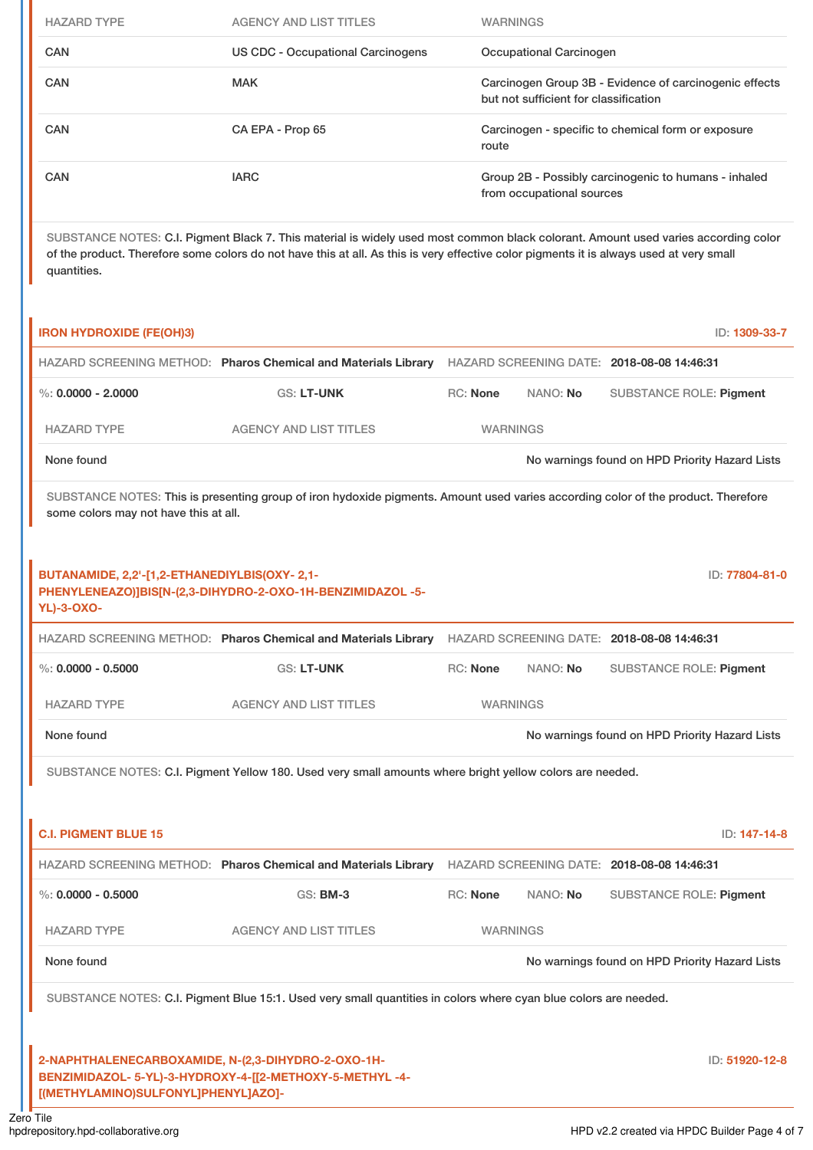| <b>HAZARD TYPE</b> | <b>AGENCY AND LIST TITLES</b>     | <b>WARNINGS</b>                                                                                 |
|--------------------|-----------------------------------|-------------------------------------------------------------------------------------------------|
| <b>CAN</b>         | US CDC - Occupational Carcinogens | Occupational Carcinogen                                                                         |
| CAN                | <b>MAK</b>                        | Carcinogen Group 3B - Evidence of carcinogenic effects<br>but not sufficient for classification |
| CAN                | CA EPA - Prop 65                  | Carcinogen - specific to chemical form or exposure<br>route                                     |
| <b>CAN</b>         | <b>IARC</b>                       | Group 2B - Possibly carcinogenic to humans - inhaled<br>from occupational sources               |

SUBSTANCE NOTES: C.I. Pigment Black 7. This material is widely used most common black colorant. Amount used varies according color of the product. Therefore some colors do not have this at all. As this is very effective color pigments it is always used at very small quantities.

| <b>IRON HYDROXIDE (FE(OH)3)</b>                                                           |                                                                                                                                   |                 |          | ID: 1309-33-7                                  |
|-------------------------------------------------------------------------------------------|-----------------------------------------------------------------------------------------------------------------------------------|-----------------|----------|------------------------------------------------|
|                                                                                           | HAZARD SCREENING METHOD: Pharos Chemical and Materials Library                                                                    |                 |          | HAZARD SCREENING DATE: 2018-08-08 14:46:31     |
| $\%$ : 0.0000 - 2.0000                                                                    | <b>GS: LT-UNK</b>                                                                                                                 | <b>RC: None</b> | NANO: No | <b>SUBSTANCE ROLE: Pigment</b>                 |
| <b>HAZARD TYPE</b>                                                                        | <b>AGENCY AND LIST TITLES</b>                                                                                                     | <b>WARNINGS</b> |          |                                                |
| None found                                                                                |                                                                                                                                   |                 |          | No warnings found on HPD Priority Hazard Lists |
| some colors may not have this at all.                                                     | SUBSTANCE NOTES: This is presenting group of iron hydoxide pigments. Amount used varies according color of the product. Therefore |                 |          |                                                |
| BUTANAMIDE, 2,2'-[1,2-ETHANEDIYLBIS(OXY-2,1-<br><b>YL)-3-OXO-</b>                         | PHENYLENEAZO)]BIS[N-(2,3-DIHYDRO-2-OXO-1H-BENZIMIDAZOL -5-                                                                        |                 |          | ID: 77804-81-0                                 |
|                                                                                           | HAZARD SCREENING METHOD: Pharos Chemical and Materials Library HAZARD SCREENING DATE: 2018-08-08 14:46:31                         |                 |          |                                                |
| $\%$ : 0.0000 - 0.5000                                                                    | <b>GS: LT-UNK</b>                                                                                                                 | <b>RC: None</b> | NANO: No | <b>SUBSTANCE ROLE: Pigment</b>                 |
| <b>HAZARD TYPE</b>                                                                        | <b>AGENCY AND LIST TITLES</b>                                                                                                     | <b>WARNINGS</b> |          |                                                |
| None found                                                                                |                                                                                                                                   |                 |          | No warnings found on HPD Priority Hazard Lists |
|                                                                                           | SUBSTANCE NOTES: C.I. Pigment Yellow 180. Used very small amounts where bright yellow colors are needed.                          |                 |          |                                                |
|                                                                                           |                                                                                                                                   |                 |          |                                                |
| <b>C.I. PIGMENT BLUE 15</b>                                                               |                                                                                                                                   |                 |          | ID: 147-14-8                                   |
|                                                                                           | HAZARD SCREENING METHOD: Pharos Chemical and Materials Library HAZARD SCREENING DATE: 2018-08-08 14:46:31                         |                 |          |                                                |
| $\%$ : 0.0000 - 0.5000                                                                    | GS: BM-3                                                                                                                          | <b>RC: None</b> | NANO: No | <b>SUBSTANCE ROLE: Pigment</b>                 |
| <b>HAZARD TYPE</b>                                                                        | <b>AGENCY AND LIST TITLES</b>                                                                                                     | <b>WARNINGS</b> |          |                                                |
| None found                                                                                |                                                                                                                                   |                 |          | No warnings found on HPD Priority Hazard Lists |
|                                                                                           | SUBSTANCE NOTES: C.I. Pigment Blue 15:1. Used very small quantities in colors where cyan blue colors are needed.                  |                 |          |                                                |
|                                                                                           |                                                                                                                                   |                 |          |                                                |
| 2-NAPHTHALENECARBOXAMIDE, N-(2,3-DIHYDRO-2-OXO-1H-<br>[(METHYLAMINO)SULFONYL]PHENYL]AZO]- | BENZIMIDAZOL- 5-YL)-3-HYDROXY-4-[[2-METHOXY-5-METHYL-4-                                                                           |                 |          | ID: 51920-12-8                                 |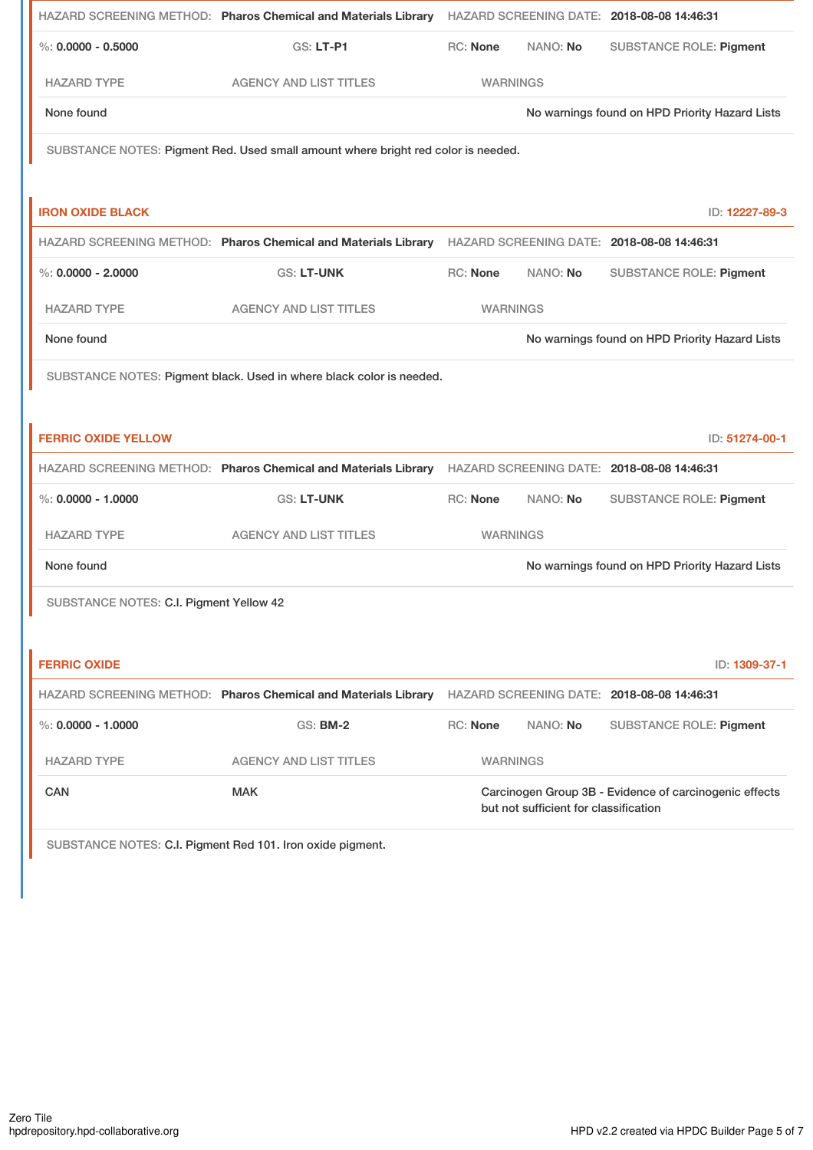|                                         | HAZARD SCREENING METHOD: Pharos Chemical and Materials Library HAZARD SCREENING DATE: 2018-08-08 14:46:31 |                 |          |                                                |
|-----------------------------------------|-----------------------------------------------------------------------------------------------------------|-----------------|----------|------------------------------------------------|
| $\%$ : 0.0000 - 0.5000                  | <b>GS: LT-P1</b>                                                                                          | <b>RC: None</b> | NANO: No | <b>SUBSTANCE ROLE: Pigment</b>                 |
| <b>HAZARD TYPE</b>                      | <b>AGENCY AND LIST TITLES</b>                                                                             | <b>WARNINGS</b> |          |                                                |
| None found                              |                                                                                                           |                 |          | No warnings found on HPD Priority Hazard Lists |
|                                         | SUBSTANCE NOTES: Pigment Red. Used small amount where bright red color is needed.                         |                 |          |                                                |
|                                         |                                                                                                           |                 |          |                                                |
| <b>IRON OXIDE BLACK</b>                 |                                                                                                           |                 |          | ID: 12227-89-3                                 |
|                                         | HAZARD SCREENING METHOD: Pharos Chemical and Materials Library HAZARD SCREENING DATE: 2018-08-08 14:46:31 |                 |          |                                                |
| $\%$ : 0.0000 - 2.0000                  | <b>GS: LT-UNK</b>                                                                                         | RC: None        | NANO: No | <b>SUBSTANCE ROLE: Pigment</b>                 |
| <b>HAZARD TYPE</b>                      | <b>AGENCY AND LIST TITLES</b>                                                                             | <b>WARNINGS</b> |          |                                                |
| None found                              |                                                                                                           |                 |          | No warnings found on HPD Priority Hazard Lists |
|                                         | SUBSTANCE NOTES: Pigment black. Used in where black color is needed.                                      |                 |          |                                                |
|                                         |                                                                                                           |                 |          |                                                |
|                                         |                                                                                                           |                 |          |                                                |
| <b>FERRIC OXIDE YELLOW</b>              |                                                                                                           |                 |          | ID: 51274-00-1                                 |
|                                         | HAZARD SCREENING METHOD: Pharos Chemical and Materials Library HAZARD SCREENING DATE: 2018-08-08 14:46:31 |                 |          |                                                |
| $\%$ : 0.0000 - 1.0000                  | <b>GS: LT-UNK</b>                                                                                         | <b>RC: None</b> | NANO: No | <b>SUBSTANCE ROLE: Pigment</b>                 |
| <b>HAZARD TYPE</b>                      | <b>AGENCY AND LIST TITLES</b>                                                                             | <b>WARNINGS</b> |          |                                                |
| None found                              |                                                                                                           |                 |          | No warnings found on HPD Priority Hazard Lists |
| SUBSTANCE NOTES: C.I. Pigment Yellow 42 |                                                                                                           |                 |          |                                                |
|                                         |                                                                                                           |                 |          |                                                |
| <b>FERRIC OXIDE</b>                     |                                                                                                           |                 |          | ID: 1309-37-1                                  |
|                                         | HAZARD SCREENING METHOD: Pharos Chemical and Materials Library                                            |                 |          | HAZARD SCREENING DATE: 2018-08-08 14:46:31     |
| $\%$ : 0.0000 - 1.0000                  | <b>GS: BM-2</b>                                                                                           | <b>RC: None</b> | NANO: No | <b>SUBSTANCE ROLE: Pigment</b>                 |
| <b>HAZARD TYPE</b>                      | <b>AGENCY AND LIST TITLES</b>                                                                             | <b>WARNINGS</b> |          |                                                |

SUBSTANCE NOTES: C.I. Pigment Red 101. Iron oxide pigment.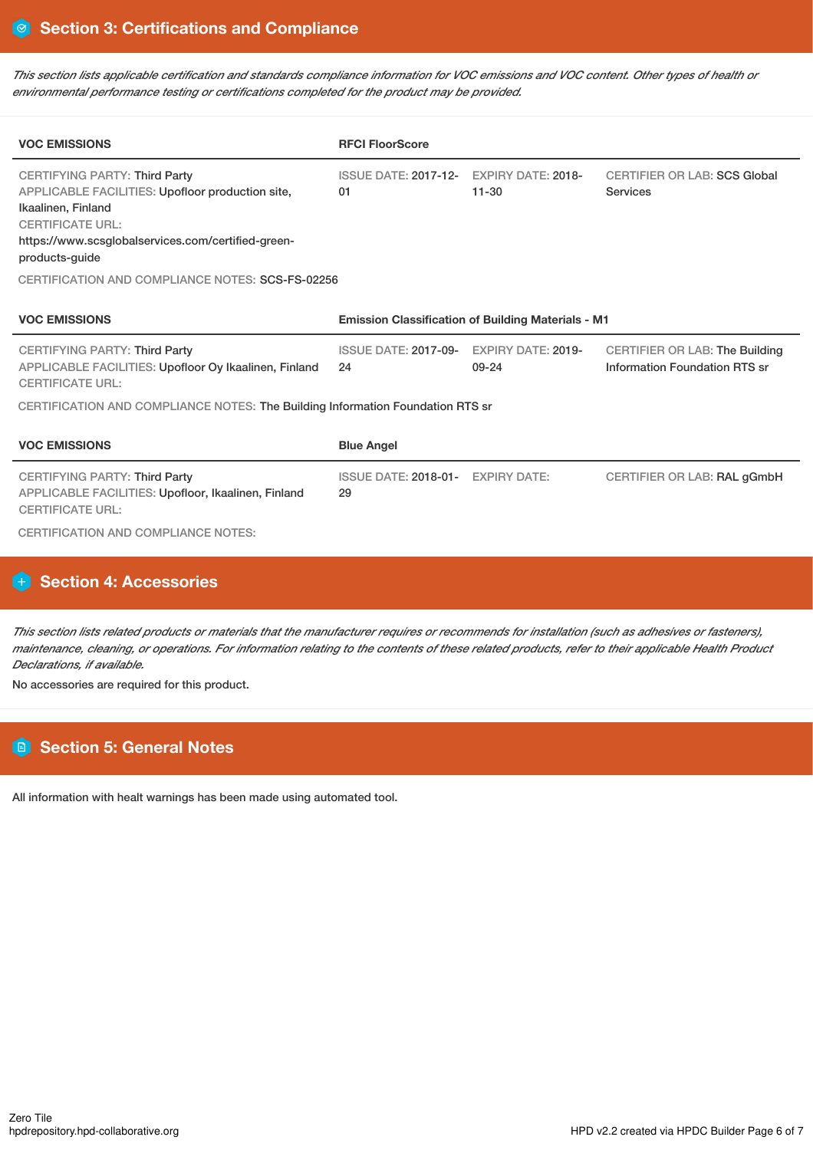This section lists applicable certification and standards compliance information for VOC emissions and VOC content. Other types of health or *environmental performance testing or certifications completed for the product may be provided.*

| <b>VOC EMISSIONS</b>                                                                                                                                                                                                                                                         | <b>RFCI FloorScore</b>                                    |                                        |                                                                        |  |
|------------------------------------------------------------------------------------------------------------------------------------------------------------------------------------------------------------------------------------------------------------------------------|-----------------------------------------------------------|----------------------------------------|------------------------------------------------------------------------|--|
| <b>CERTIFYING PARTY: Third Party</b><br>APPLICABLE FACILITIES: Upofloor production site,<br>Ikaalinen, Finland<br><b>CERTIFICATE URL:</b><br>https://www.scsglobalservices.com/certified-green-<br>products-quide<br><b>CERTIFICATION AND COMPLIANCE NOTES: SCS-FS-02256</b> | <b>ISSUE DATE: 2017-12-</b><br>01                         | <b>EXPIRY DATE: 2018-</b><br>$11 - 30$ | <b>CERTIFIER OR LAB: SCS Global</b><br>Services                        |  |
| <b>VOC EMISSIONS</b>                                                                                                                                                                                                                                                         | <b>Emission Classification of Building Materials - M1</b> |                                        |                                                                        |  |
| <b>CERTIFYING PARTY: Third Party</b><br>APPLICABLE FACILITIES: Upofloor Oy Ikaalinen, Finland<br><b>CERTIFICATE URL:</b>                                                                                                                                                     | <b>ISSUE DATE: 2017-09-</b><br>24                         | <b>EXPIRY DATE: 2019-</b><br>09-24     | <b>CERTIFIER OR LAB: The Building</b><br>Information Foundation RTS sr |  |
| CERTIFICATION AND COMPLIANCE NOTES: The Building Information Foundation RTS sr                                                                                                                                                                                               |                                                           |                                        |                                                                        |  |
| <b>VOC EMISSIONS</b>                                                                                                                                                                                                                                                         | <b>Blue Angel</b>                                         |                                        |                                                                        |  |
| <b>CERTIFYING PARTY: Third Party</b><br>APPLICABLE FACILITIES: Upofloor, Ikaalinen, Finland<br><b>CERTIFICATE URL:</b><br><b>CERTIFICATION AND COMPLIANCE NOTES:</b>                                                                                                         | ISSUE DATE: 2018-01- EXPIRY DATE:<br>29                   |                                        | CERTIFIER OR LAB: RAL gGmbH                                            |  |

# **Section 4: Accessories**

This section lists related products or materials that the manufacturer requires or recommends for installation (such as adhesives or fasteners), maintenance, cleaning, or operations. For information relating to the contents of these related products, refer to their applicable Health Product *Declarations, if available.*

No accessories are required for this product.

# **Section 5: General Notes**

All information with healt warnings has been made using automated tool.